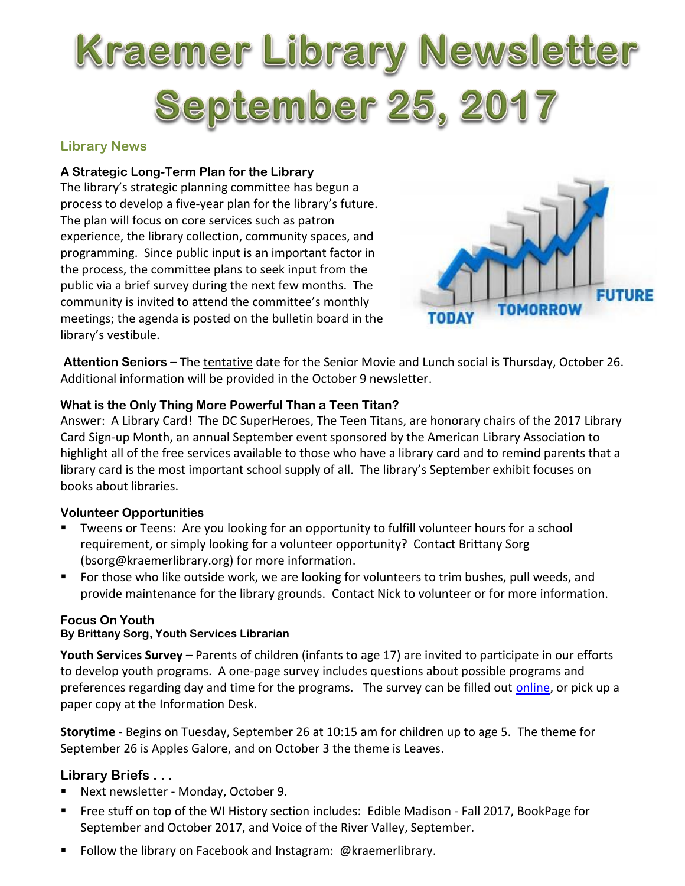# Kraemer Library Newsletter **September 25, 2017**

#### **Library News**

#### **A Strategic Long-Term Plan for the Library**

The library's strategic planning committee has begun a process to develop a five-year plan for the library's future. The plan will focus on core services such as patron experience, the library collection, community spaces, and programming. Since public input is an important factor in the process, the committee plans to seek input from the public via a brief survey during the next few months. The community is invited to attend the committee's monthly meetings; the agenda is posted on the bulletin board in the library's vestibule.



**Attention Seniors** – The tentative date for the Senior Movie and Lunch social is Thursday, October 26. Additional information will be provided in the October 9 newsletter.

#### **What is the Only Thing More Powerful Than a Teen Titan?**

Answer: A Library Card! The DC SuperHeroes, The Teen Titans, are honorary chairs of the 2017 Library Card Sign-up Month, an annual September event sponsored by the American Library Association to highlight all of the free services available to those who have a library card and to remind parents that a library card is the most important school supply of all. The library's September exhibit focuses on books about libraries.

#### **Volunteer Opportunities**

- Tweens or Teens: Are you looking for an opportunity to fulfill volunteer hours for a school requirement, or simply looking for a volunteer opportunity? Contact Brittany Sorg (bsorg@kraemerlibrary.org) for more information.
- For those who like outside work, we are looking for volunteers to trim bushes, pull weeds, and provide maintenance for the library grounds. Contact Nick to volunteer or for more information.

#### **Focus On Youth**

#### **By Brittany Sorg, Youth Services Librarian**

**Youth Services Survey** – Parents of children (infants to age 17) are invited to participate in our efforts to develop youth programs. A one-page survey includes questions about possible programs and preferences regarding day and time for the programs. The survey can be filled out *online*, or pick up a paper copy at the Information Desk.

**Storytime** - Begins on Tuesday, September 26 at 10:15 am for children up to age 5. The theme for September 26 is Apples Galore, and on October 3 the theme is Leaves.

#### **Library Briefs . . .**

- Next newsletter Monday, October 9.
- Free stuff on top of the WI History section includes: Edible Madison Fall 2017, BookPage for September and October 2017, and Voice of the River Valley, September.
- Follow the library on Facebook and Instagram: @kraemerlibrary.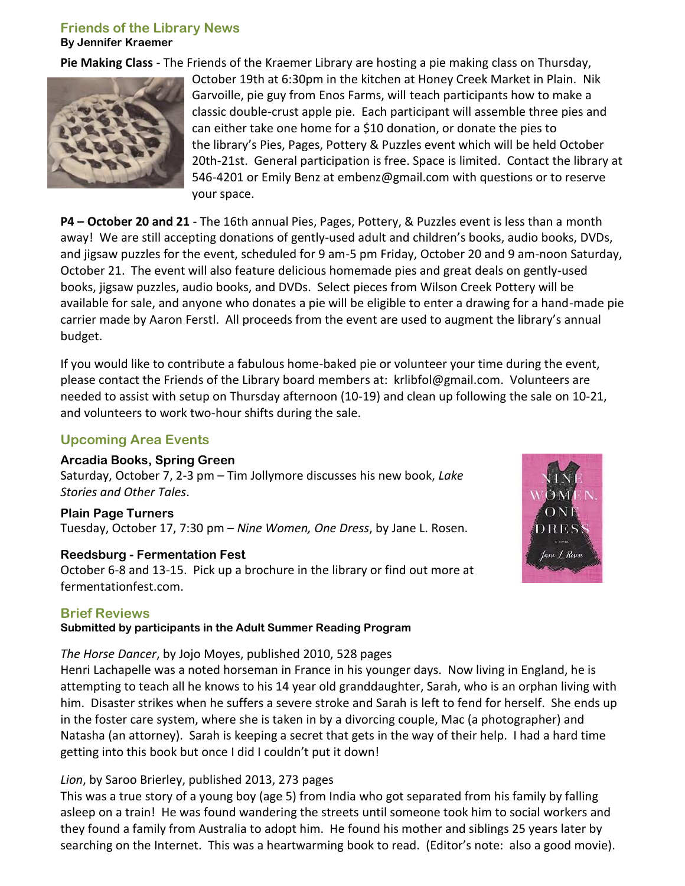# **Friends of the Library News**

**By Jennifer Kraemer**

**Pie Making Class** - The Friends of the Kraemer Library are hosting a pie making class on Thursday,



October 19th at 6:30pm in the kitchen at Honey Creek Market in Plain. Nik Garvoille, pie guy from Enos Farms, will teach participants how to make a classic double-crust apple pie. Each participant will assemble three pies and can either take one home for a \$10 donation, or donate the pies to the library's Pies, Pages, Pottery & Puzzles event which will be held October 20th-21st. General participation is free. Space is limited. Contact the library at 546-4201 or Emily Benz at [embenz@gmail.com](mailto:embenz@gmail.com) with questions or to reserve your space.

**P4 – October 20 and 21** - The 16th annual Pies, Pages, Pottery, & Puzzles event is less than a month away! We are still accepting donations of gently-used adult and children's books, audio books, DVDs, and jigsaw puzzles for the event, scheduled for 9 am-5 pm Friday, October 20 and 9 am-noon Saturday, October 21. The event will also feature delicious homemade pies and great deals on gently-used books, jigsaw puzzles, audio books, and DVDs. Select pieces from Wilson Creek Pottery will be available for sale, and anyone who donates a pie will be eligible to enter a drawing for a hand-made pie carrier made by Aaron Ferstl. All proceeds from the event are used to augment the library's annual budget.

If you would like to contribute a fabulous home-baked pie or volunteer your time during the event, please contact the Friends of the Library board members at: krlibfol@gmail.com. Volunteers are needed to assist with setup on Thursday afternoon (10-19) and clean up following the sale on 10-21, and volunteers to work two-hour shifts during the sale.

## **Upcoming Area Events**

#### **Arcadia Books, Spring Green**

Saturday, October 7, 2-3 pm – Tim Jollymore discusses his new book, *Lake Stories and Other Tales*.

**Plain Page Turners** Tuesday, October 17, 7:30 pm – *Nine Women, One Dress*, by Jane L. Rosen.

#### **Reedsburg - Fermentation Fest**

October 6-8 and 13-15. Pick up a brochure in the library or find out more at fermentationfest.com.



#### **Brief Reviews**

**Submitted by participants in the Adult Summer Reading Program** 

#### *The Horse Dancer*, by Jojo Moyes, published 2010, 528 pages

Henri Lachapelle was a noted horseman in France in his younger days. Now living in England, he is attempting to teach all he knows to his 14 year old granddaughter, Sarah, who is an orphan living with him. Disaster strikes when he suffers a severe stroke and Sarah is left to fend for herself. She ends up in the foster care system, where she is taken in by a divorcing couple, Mac (a photographer) and Natasha (an attorney). Sarah is keeping a secret that gets in the way of their help. I had a hard time getting into this book but once I did I couldn't put it down!

#### *Lion*, by Saroo Brierley, published 2013, 273 pages

This was a true story of a young boy (age 5) from India who got separated from his family by falling asleep on a train! He was found wandering the streets until someone took him to social workers and they found a family from Australia to adopt him. He found his mother and siblings 25 years later by searching on the Internet. This was a heartwarming book to read. (Editor's note: also a good movie).